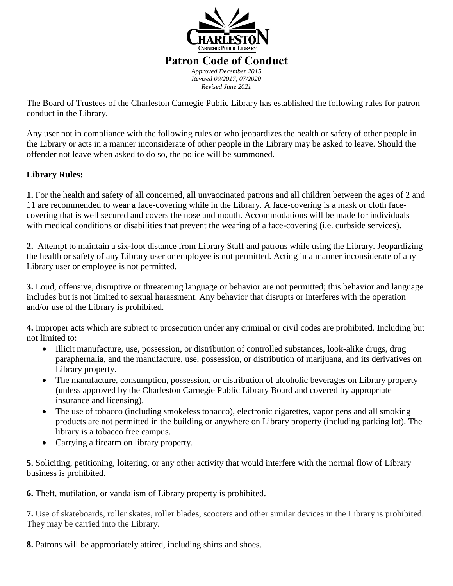

#### **Patron Code of Conduct** *Approved December 2015 Revised 09/2017, 07/2020 Revised June 2021*

The Board of Trustees of the Charleston Carnegie Public Library has established the following rules for patron conduct in the Library.

Any user not in compliance with the following rules or who jeopardizes the health or safety of other people in the Library or acts in a manner inconsiderate of other people in the Library may be asked to leave. Should the offender not leave when asked to do so, the police will be summoned.

### **Library Rules:**

**1.** For the health and safety of all concerned, all unvaccinated patrons and all children between the ages of 2 and 11 are recommended to wear a face-covering while in the Library. A face-covering is a mask or cloth facecovering that is well secured and covers the nose and mouth. Accommodations will be made for individuals with medical conditions or disabilities that prevent the wearing of a face-covering (i.e. curbside services).

**2.** Attempt to maintain a six-foot distance from Library Staff and patrons while using the Library. Jeopardizing the health or safety of any Library user or employee is not permitted. Acting in a manner inconsiderate of any Library user or employee is not permitted.

**3.** Loud, offensive, disruptive or threatening language or behavior are not permitted; this behavior and language includes but is not limited to sexual harassment. Any behavior that disrupts or interferes with the operation and/or use of the Library is prohibited.

**4.** Improper acts which are subject to prosecution under any criminal or civil codes are prohibited. Including but not limited to:

- Illicit manufacture, use, possession, or distribution of controlled substances, look-alike drugs, drug paraphernalia, and the manufacture, use, possession, or distribution of marijuana, and its derivatives on Library property.
- The manufacture, consumption, possession, or distribution of alcoholic beverages on Library property (unless approved by the Charleston Carnegie Public Library Board and covered by appropriate insurance and licensing).
- The use of tobacco (including smokeless tobacco), electronic cigarettes, vapor pens and all smoking products are not permitted in the building or anywhere on Library property (including parking lot). The library is a tobacco free campus.
- Carrying a firearm on library property.

**5.** Soliciting, petitioning, loitering, or any other activity that would interfere with the normal flow of Library business is prohibited.

**6.** Theft, mutilation, or vandalism of Library property is prohibited.

**7.** Use of skateboards, roller skates, roller blades, scooters and other similar devices in the Library is prohibited. They may be carried into the Library.

**8.** Patrons will be appropriately attired, including shirts and shoes.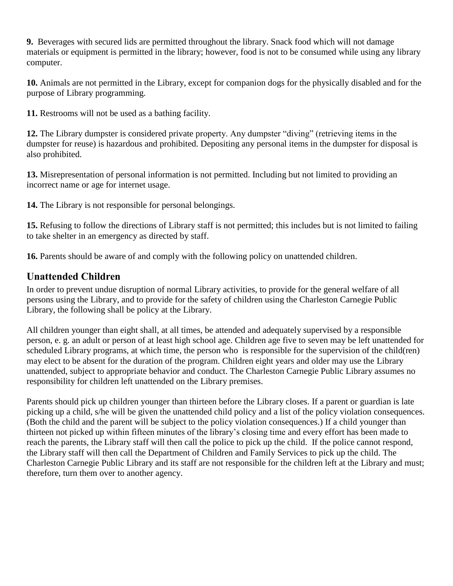**9.** Beverages with secured lids are permitted throughout the library. Snack food which will not damage materials or equipment is permitted in the library; however, food is not to be consumed while using any library computer.

**10.** Animals are not permitted in the Library, except for companion dogs for the physically disabled and for the purpose of Library programming.

**11.** Restrooms will not be used as a bathing facility.

**12.** The Library dumpster is considered private property. Any dumpster "diving" (retrieving items in the dumpster for reuse) is hazardous and prohibited. Depositing any personal items in the dumpster for disposal is also prohibited.

**13.** Misrepresentation of personal information is not permitted. Including but not limited to providing an incorrect name or age for internet usage.

**14.** The Library is not responsible for personal belongings.

**15.** Refusing to follow the directions of Library staff is not permitted; this includes but is not limited to failing to take shelter in an emergency as directed by staff.

**16.** Parents should be aware of and comply with the following policy on unattended children.

# **Unattended Children**

In order to prevent undue disruption of normal Library activities, to provide for the general welfare of all persons using the Library, and to provide for the safety of children using the Charleston Carnegie Public Library, the following shall be policy at the Library.

All children younger than eight shall, at all times, be attended and adequately supervised by a responsible person, e. g. an adult or person of at least high school age. Children age five to seven may be left unattended for scheduled Library programs, at which time, the person who is responsible for the supervision of the child(ren) may elect to be absent for the duration of the program. Children eight years and older may use the Library unattended, subject to appropriate behavior and conduct. The Charleston Carnegie Public Library assumes no responsibility for children left unattended on the Library premises.

Parents should pick up children younger than thirteen before the Library closes. If a parent or guardian is late picking up a child, s/he will be given the unattended child policy and a list of the policy violation consequences. (Both the child and the parent will be subject to the policy violation consequences.) If a child younger than thirteen not picked up within fifteen minutes of the library's closing time and every effort has been made to reach the parents, the Library staff will then call the police to pick up the child. If the police cannot respond, the Library staff will then call the Department of Children and Family Services to pick up the child. The Charleston Carnegie Public Library and its staff are not responsible for the children left at the Library and must; therefore, turn them over to another agency.